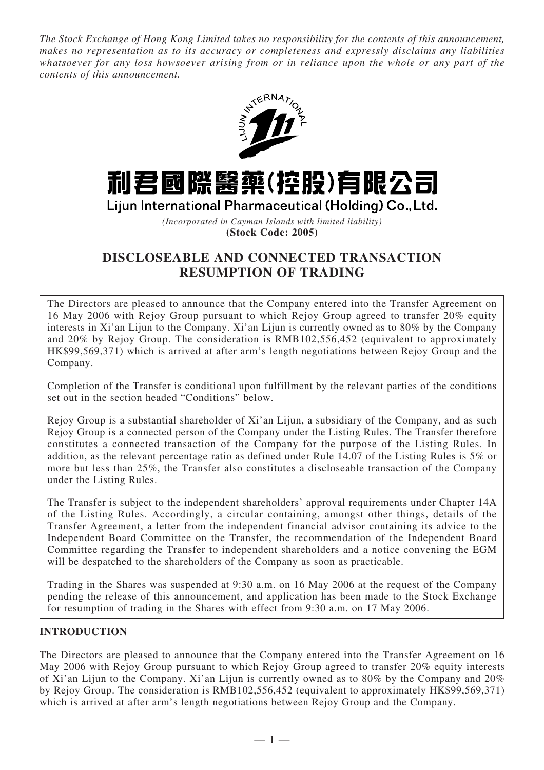*The Stock Exchange of Hong Kong Limited takes no responsibility for the contents of this announcement, makes no representation as to its accuracy or completeness and expressly disclaims any liabilities whatsoever for any loss howsoever arising from or in reliance upon the whole or any part of the contents of this announcement.*



# 利君國際醫藥(控股)有限公司

Lijun International Pharmaceutical (Holding) Co., Ltd.

*(Incorporated in Cayman Islands with limited liability)* **(Stock Code: 2005)**

# **DISCLOSEABLE AND CONNECTED TRANSACTION RESUMPTION OF TRADING**

The Directors are pleased to announce that the Company entered into the Transfer Agreement on 16 May 2006 with Rejoy Group pursuant to which Rejoy Group agreed to transfer 20% equity interests in Xi'an Lijun to the Company. Xi'an Lijun is currently owned as to 80% by the Company and 20% by Rejoy Group. The consideration is RMB102,556,452 (equivalent to approximately HK\$99,569,371) which is arrived at after arm's length negotiations between Rejoy Group and the Company.

Completion of the Transfer is conditional upon fulfillment by the relevant parties of the conditions set out in the section headed "Conditions" below.

Rejoy Group is a substantial shareholder of Xi'an Lijun, a subsidiary of the Company, and as such Rejoy Group is a connected person of the Company under the Listing Rules. The Transfer therefore constitutes a connected transaction of the Company for the purpose of the Listing Rules. In addition, as the relevant percentage ratio as defined under Rule 14.07 of the Listing Rules is 5% or more but less than 25%, the Transfer also constitutes a discloseable transaction of the Company under the Listing Rules.

The Transfer is subject to the independent shareholders' approval requirements under Chapter 14A of the Listing Rules. Accordingly, a circular containing, amongst other things, details of the Transfer Agreement, a letter from the independent financial advisor containing its advice to the Independent Board Committee on the Transfer, the recommendation of the Independent Board Committee regarding the Transfer to independent shareholders and a notice convening the EGM will be despatched to the shareholders of the Company as soon as practicable.

Trading in the Shares was suspended at 9:30 a.m. on 16 May 2006 at the request of the Company pending the release of this announcement, and application has been made to the Stock Exchange for resumption of trading in the Shares with effect from 9:30 a.m. on 17 May 2006.

# **INTRODUCTION**

The Directors are pleased to announce that the Company entered into the Transfer Agreement on 16 May 2006 with Rejoy Group pursuant to which Rejoy Group agreed to transfer 20% equity interests of Xi'an Lijun to the Company. Xi'an Lijun is currently owned as to 80% by the Company and 20% by Rejoy Group. The consideration is RMB102,556,452 (equivalent to approximately HK\$99,569,371) which is arrived at after arm's length negotiations between Rejoy Group and the Company.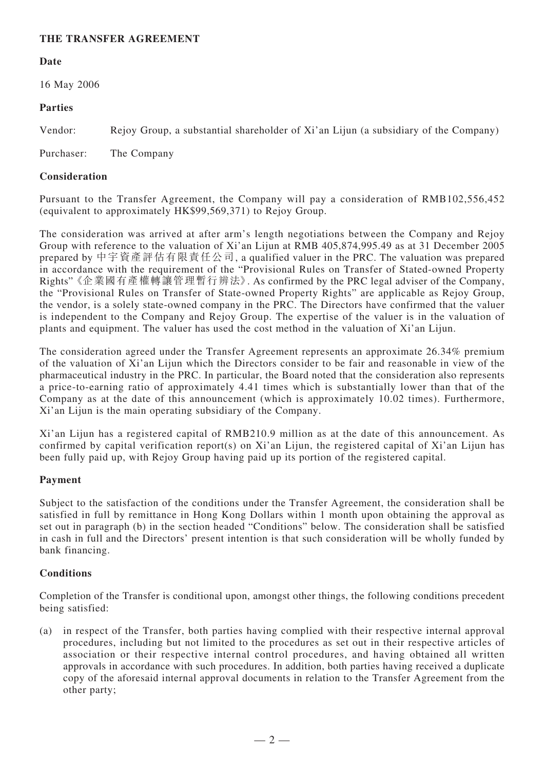## **THE TRANSFER AGREEMENT**

#### **Date**

16 May 2006

#### **Parties**

Vendor: Rejoy Group, a substantial shareholder of Xi'an Lijun (a subsidiary of the Company)

Purchaser: The Company

#### **Consideration**

Pursuant to the Transfer Agreement, the Company will pay a consideration of RMB102,556,452 (equivalent to approximately HK\$99,569,371) to Rejoy Group.

The consideration was arrived at after arm's length negotiations between the Company and Rejoy Group with reference to the valuation of Xi'an Lijun at RMB 405,874,995.49 as at 31 December 2005 prepared by 中宇資產評估有限責任公司, a qualified valuer in the PRC. The valuation was prepared in accordance with the requirement of the "Provisional Rules on Transfer of Stated-owned Property Rights" 《企業國有產權轉讓管理暫行辨法》. As confirmed by the PRC legal adviser of the Company, the "Provisional Rules on Transfer of State-owned Property Rights" are applicable as Rejoy Group, the vendor, is a solely state-owned company in the PRC. The Directors have confirmed that the valuer is independent to the Company and Rejoy Group. The expertise of the valuer is in the valuation of plants and equipment. The valuer has used the cost method in the valuation of Xi'an Lijun.

The consideration agreed under the Transfer Agreement represents an approximate 26.34% premium of the valuation of Xi'an Lijun which the Directors consider to be fair and reasonable in view of the pharmaceutical industry in the PRC. In particular, the Board noted that the consideration also represents a price-to-earning ratio of approximately 4.41 times which is substantially lower than that of the Company as at the date of this announcement (which is approximately 10.02 times). Furthermore, Xi'an Lijun is the main operating subsidiary of the Company.

Xi'an Lijun has a registered capital of RMB210.9 million as at the date of this announcement. As confirmed by capital verification report(s) on Xi'an Lijun, the registered capital of Xi'an Lijun has been fully paid up, with Rejoy Group having paid up its portion of the registered capital.

#### **Payment**

Subject to the satisfaction of the conditions under the Transfer Agreement, the consideration shall be satisfied in full by remittance in Hong Kong Dollars within 1 month upon obtaining the approval as set out in paragraph (b) in the section headed "Conditions" below. The consideration shall be satisfied in cash in full and the Directors' present intention is that such consideration will be wholly funded by bank financing.

#### **Conditions**

Completion of the Transfer is conditional upon, amongst other things, the following conditions precedent being satisfied:

(a) in respect of the Transfer, both parties having complied with their respective internal approval procedures, including but not limited to the procedures as set out in their respective articles of association or their respective internal control procedures, and having obtained all written approvals in accordance with such procedures. In addition, both parties having received a duplicate copy of the aforesaid internal approval documents in relation to the Transfer Agreement from the other party;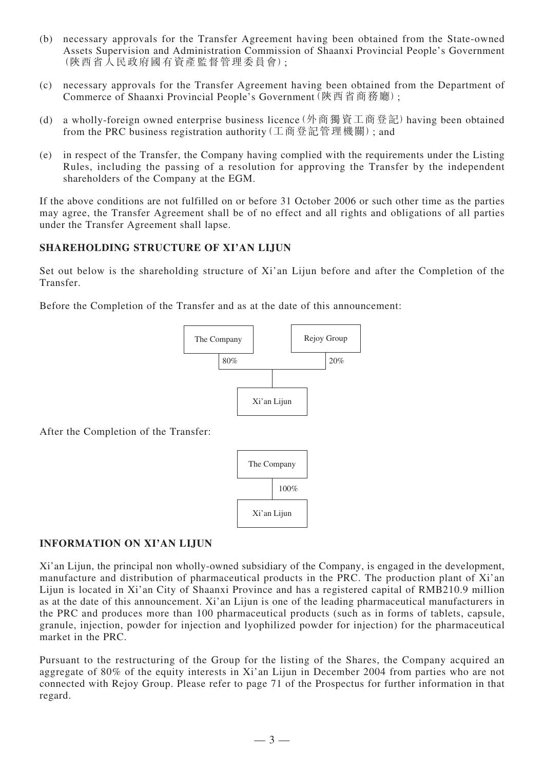- (b) necessary approvals for the Transfer Agreement having been obtained from the State-owned Assets Supervision and Administration Commission of Shaanxi Provincial People's Government (陝西省人民政府國有資產監督管理委員會);
- (c) necessary approvals for the Transfer Agreement having been obtained from the Department of Commerce of Shaanxi Provincial People's Government(陝西省商務廳);
- (d) a wholly-foreign owned enterprise business licence(外商獨資工商登記)having been obtained from the PRC business registration authority(工商登記管理機關); and
- (e) in respect of the Transfer, the Company having complied with the requirements under the Listing Rules, including the passing of a resolution for approving the Transfer by the independent shareholders of the Company at the EGM.

If the above conditions are not fulfilled on or before 31 October 2006 or such other time as the parties may agree, the Transfer Agreement shall be of no effect and all rights and obligations of all parties under the Transfer Agreement shall lapse.

## **SHAREHOLDING STRUCTURE OF XI'AN LIJUN**

Set out below is the shareholding structure of Xi'an Lijun before and after the Completion of the Transfer.

Before the Completion of the Transfer and as at the date of this announcement:



After the Completion of the Transfer:



#### **INFORMATION ON XI'AN LIJUN**

Xi'an Lijun, the principal non wholly-owned subsidiary of the Company, is engaged in the development, manufacture and distribution of pharmaceutical products in the PRC. The production plant of Xi'an Lijun is located in Xi'an City of Shaanxi Province and has a registered capital of RMB210.9 million as at the date of this announcement. Xi'an Lijun is one of the leading pharmaceutical manufacturers in the PRC and produces more than 100 pharmaceutical products (such as in forms of tablets, capsule, granule, injection, powder for injection and lyophilized powder for injection) for the pharmaceutical market in the PRC.

Pursuant to the restructuring of the Group for the listing of the Shares, the Company acquired an aggregate of 80% of the equity interests in Xi'an Lijun in December 2004 from parties who are not connected with Rejoy Group. Please refer to page 71 of the Prospectus for further information in that regard.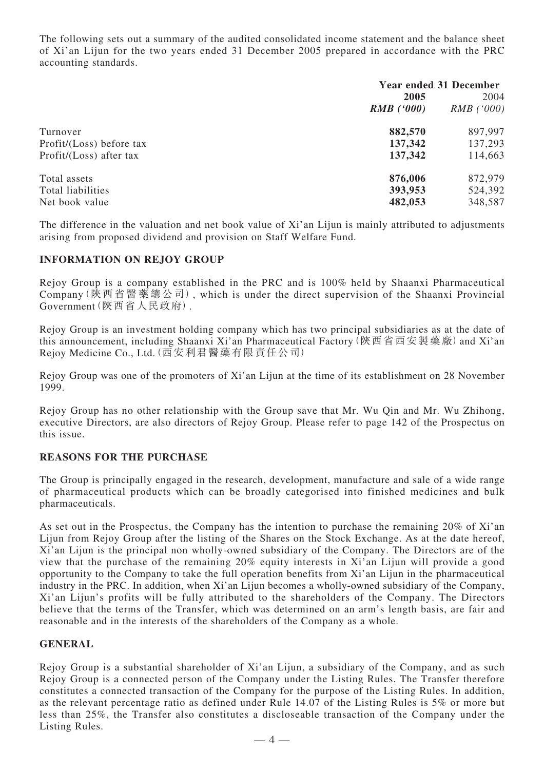The following sets out a summary of the audited consolidated income statement and the balance sheet of Xi'an Lijun for the two years ended 31 December 2005 prepared in accordance with the PRC accounting standards.

|                          | <b>Year ended 31 December</b> |              |
|--------------------------|-------------------------------|--------------|
|                          | 2005                          | 2004         |
|                          | $RMB$ ('000)                  | $RMB$ ('000) |
| Turnover                 | 882,570                       | 897,997      |
| Profit/(Loss) before tax | 137,342                       | 137,293      |
| Profit/(Loss) after tax  | 137,342                       | 114,663      |
| Total assets             | 876,006                       | 872,979      |
| Total liabilities        | 393,953                       | 524,392      |
| Net book value           | 482,053                       | 348,587      |

The difference in the valuation and net book value of Xi'an Lijun is mainly attributed to adjustments arising from proposed dividend and provision on Staff Welfare Fund.

#### **INFORMATION ON REJOY GROUP**

Rejoy Group is a company established in the PRC and is 100% held by Shaanxi Pharmaceutical Company(陝西省醫藥總公司), which is under the direct supervision of the Shaanxi Provincial Government(陝西省人民政府).

Rejoy Group is an investment holding company which has two principal subsidiaries as at the date of this announcement, including Shaanxi Xi'an Pharmaceutical Factory (陝西省西安製藥廠) and Xi'an Rejoy Medicine Co., Ltd.(西安利君醫藥有限責任公司)

Rejoy Group was one of the promoters of Xi'an Lijun at the time of its establishment on 28 November 1999.

Rejoy Group has no other relationship with the Group save that Mr. Wu Qin and Mr. Wu Zhihong, executive Directors, are also directors of Rejoy Group. Please refer to page 142 of the Prospectus on this issue.

#### **REASONS FOR THE PURCHASE**

The Group is principally engaged in the research, development, manufacture and sale of a wide range of pharmaceutical products which can be broadly categorised into finished medicines and bulk pharmaceuticals.

As set out in the Prospectus, the Company has the intention to purchase the remaining 20% of Xi'an Lijun from Rejoy Group after the listing of the Shares on the Stock Exchange. As at the date hereof, Xi'an Lijun is the principal non wholly-owned subsidiary of the Company. The Directors are of the view that the purchase of the remaining 20% equity interests in Xi'an Lijun will provide a good opportunity to the Company to take the full operation benefits from Xi'an Lijun in the pharmaceutical industry in the PRC. In addition, when Xi'an Lijun becomes a wholly-owned subsidiary of the Company, Xi'an Lijun's profits will be fully attributed to the shareholders of the Company. The Directors believe that the terms of the Transfer, which was determined on an arm's length basis, are fair and reasonable and in the interests of the shareholders of the Company as a whole.

#### **GENERAL**

Rejoy Group is a substantial shareholder of Xi'an Lijun, a subsidiary of the Company, and as such Rejoy Group is a connected person of the Company under the Listing Rules. The Transfer therefore constitutes a connected transaction of the Company for the purpose of the Listing Rules. In addition, as the relevant percentage ratio as defined under Rule 14.07 of the Listing Rules is 5% or more but less than 25%, the Transfer also constitutes a discloseable transaction of the Company under the Listing Rules.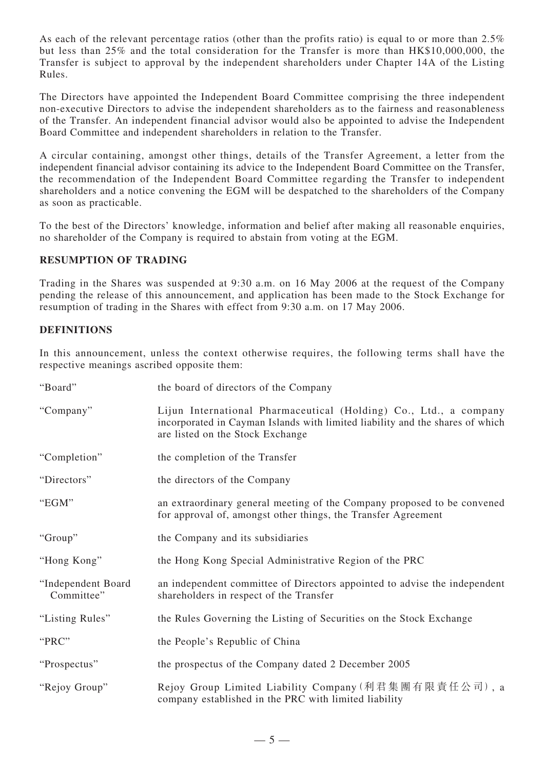As each of the relevant percentage ratios (other than the profits ratio) is equal to or more than 2.5% but less than 25% and the total consideration for the Transfer is more than HK\$10,000,000, the Transfer is subject to approval by the independent shareholders under Chapter 14A of the Listing Rules.

The Directors have appointed the Independent Board Committee comprising the three independent non-executive Directors to advise the independent shareholders as to the fairness and reasonableness of the Transfer. An independent financial advisor would also be appointed to advise the Independent Board Committee and independent shareholders in relation to the Transfer.

A circular containing, amongst other things, details of the Transfer Agreement, a letter from the independent financial advisor containing its advice to the Independent Board Committee on the Transfer, the recommendation of the Independent Board Committee regarding the Transfer to independent shareholders and a notice convening the EGM will be despatched to the shareholders of the Company as soon as practicable.

To the best of the Directors' knowledge, information and belief after making all reasonable enquiries, no shareholder of the Company is required to abstain from voting at the EGM.

#### **RESUMPTION OF TRADING**

Trading in the Shares was suspended at 9:30 a.m. on 16 May 2006 at the request of the Company pending the release of this announcement, and application has been made to the Stock Exchange for resumption of trading in the Shares with effect from 9:30 a.m. on 17 May 2006.

## **DEFINITIONS**

In this announcement, unless the context otherwise requires, the following terms shall have the respective meanings ascribed opposite them:

| "Board"                          | the board of directors of the Company                                                                                                                                                  |
|----------------------------------|----------------------------------------------------------------------------------------------------------------------------------------------------------------------------------------|
| "Company"                        | Lijun International Pharmaceutical (Holding) Co., Ltd., a company<br>incorporated in Cayman Islands with limited liability and the shares of which<br>are listed on the Stock Exchange |
| "Completion"                     | the completion of the Transfer                                                                                                                                                         |
| "Directors"                      | the directors of the Company                                                                                                                                                           |
| "EGM"                            | an extraordinary general meeting of the Company proposed to be convened<br>for approval of, amongst other things, the Transfer Agreement                                               |
| "Group"                          | the Company and its subsidiaries                                                                                                                                                       |
| "Hong Kong"                      | the Hong Kong Special Administrative Region of the PRC                                                                                                                                 |
| "Independent Board<br>Committee" | an independent committee of Directors appointed to advise the independent<br>shareholders in respect of the Transfer                                                                   |
| "Listing Rules"                  | the Rules Governing the Listing of Securities on the Stock Exchange                                                                                                                    |
| "PRC"                            | the People's Republic of China                                                                                                                                                         |
| "Prospectus"                     | the prospectus of the Company dated 2 December 2005                                                                                                                                    |
| "Rejoy Group"                    | Rejoy Group Limited Liability Company (利君集團有限責任公司), a<br>company established in the PRC with limited liability                                                                         |